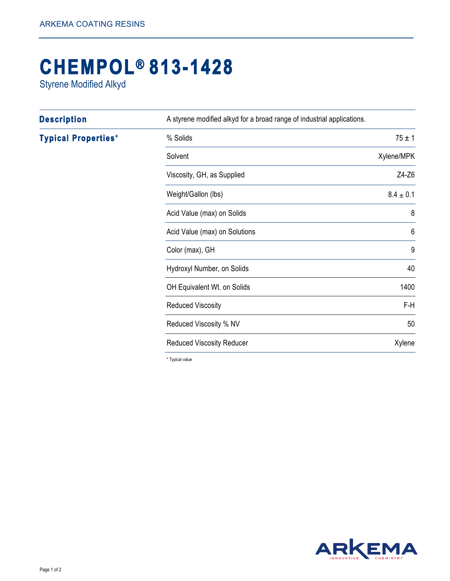## **CHEMPOL® 813-1428**

Styrene Modified Alkyd

| <b>Description</b>         | A styrene modified alkyd for a broad range of industrial applications. |                 |
|----------------------------|------------------------------------------------------------------------|-----------------|
| <b>Typical Properties*</b> | % Solids                                                               | $75 \pm 1$      |
|                            | Solvent                                                                | Xylene/MPK      |
|                            | Viscosity, GH, as Supplied                                             | Z4-Z6           |
|                            | Weight/Gallon (lbs)                                                    | $8.4 \pm 0.1$   |
|                            | Acid Value (max) on Solids                                             | 8               |
|                            | Acid Value (max) on Solutions                                          | $6\phantom{1}6$ |
|                            | Color (max), GH                                                        | 9               |
|                            | Hydroxyl Number, on Solids                                             | 40              |
|                            | OH Equivalent Wt. on Solids                                            | 1400            |
|                            | <b>Reduced Viscosity</b>                                               | F-H             |
|                            | Reduced Viscosity % NV                                                 | 50              |
|                            | <b>Reduced Viscosity Reducer</b>                                       | Xylene          |

\* Typical value